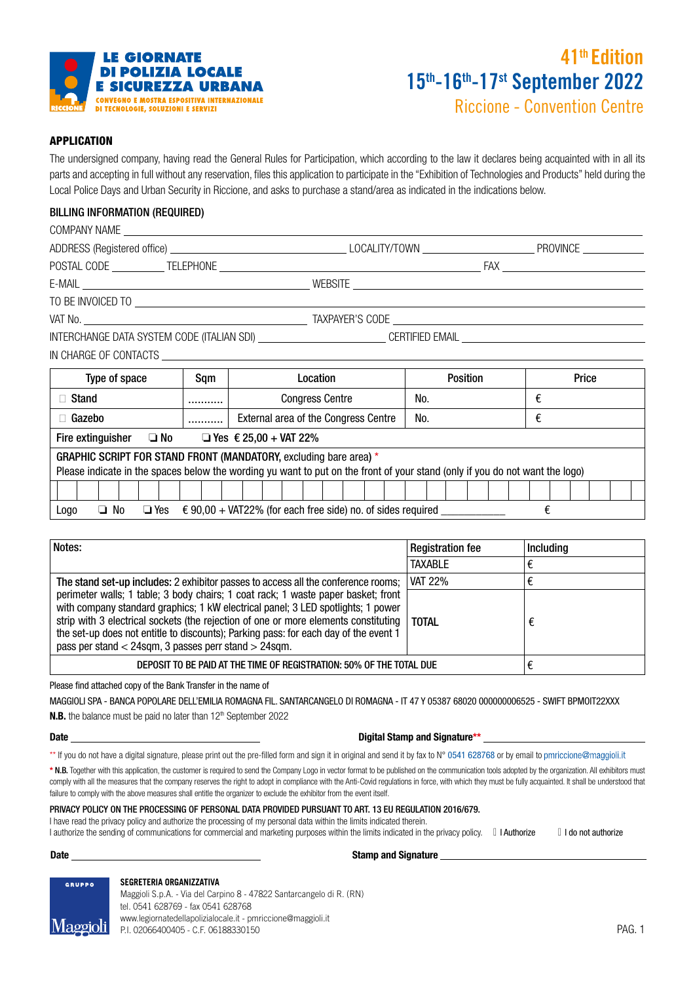

# 15th-16th-17st September 2022 41th Edition

Riccione - Convention Centre

# APPLICATION

The undersigned company, having read the General Rules for Participation, which according to the law it declares being acquainted with in all its parts and accepting in full without any reservation, files this application to participate in the "Exhibition of Technologies and Products" held during the Local Police Days and Urban Security in Riccione, and asks to purchase a stand/area as indicated in the indications below.

# BILLING INFORMATION (REQUIRED)

|                       |                 | PROVINCE   |
|-----------------------|-----------------|------------|
| POSTAL CODE TELEPHONE |                 | <b>FAX</b> |
|                       | WEBSITE         |            |
| TO BE INVOICED TO     |                 |            |
| VAT No.               | TAXPAYER'S CODE |            |

INTERCHANGE DATA SYSTEM CODE (ITALIAN SDI) CERTIFIED EMAIL

IN CHARGE OF CONTACTS

| Type of space                                                                                                                                                                                     | Sam | Location                             | <b>Position</b> | Price |  |  |  |
|---------------------------------------------------------------------------------------------------------------------------------------------------------------------------------------------------|-----|--------------------------------------|-----------------|-------|--|--|--|
| Stand                                                                                                                                                                                             |     | <b>Congress Centre</b>               | No.             | €     |  |  |  |
| Gazebo                                                                                                                                                                                            |     | External area of the Congress Centre | No.             | €     |  |  |  |
| Fire extinguisher<br>$\square$ No<br>□ Yes $\epsilon$ 25,00 + VAT 22%                                                                                                                             |     |                                      |                 |       |  |  |  |
| GRAPHIC SCRIPT FOR STAND FRONT (MANDATORY, excluding bare area) *<br>Please indicate in the spaces below the wording yu want to put on the front of your stand (only if you do not want the logo) |     |                                      |                 |       |  |  |  |
|                                                                                                                                                                                                   |     |                                      |                 |       |  |  |  |
| $\epsilon$ 90,00 + VAT22% (for each free side) no. of sides required<br>$\Box$ No<br>€<br>$\Box$ Yes<br>Logo                                                                                      |     |                                      |                 |       |  |  |  |

| Notes:                                                                                                                                                                                                                                                                                                                                                                                                           | <b>Registration fee</b> | Including |
|------------------------------------------------------------------------------------------------------------------------------------------------------------------------------------------------------------------------------------------------------------------------------------------------------------------------------------------------------------------------------------------------------------------|-------------------------|-----------|
|                                                                                                                                                                                                                                                                                                                                                                                                                  | <b>TAXABLE</b>          |           |
| The stand set-up includes: 2 exhibitor passes to access all the conference rooms;                                                                                                                                                                                                                                                                                                                                | <b>VAT 22%</b>          |           |
| perimeter walls; 1 table; 3 body chairs; 1 coat rack; 1 waste paper basket; front<br>with company standard graphics; 1 kW electrical panel; 3 LED spotlights; 1 power<br>strip with 3 electrical sockets (the rejection of one or more elements constituting<br>the set-up does not entitle to discounts); Parking pass: for each day of the event 1<br>pass per stand $<$ 24sqm, 3 passes perr stand $>$ 24sqm. | <b>TOTAL</b>            | €         |
| DEPOSIT TO BE PAID AT THE TIME OF REGISTRATION: 50% OF THE TOTAL DUE                                                                                                                                                                                                                                                                                                                                             |                         |           |

Please find attached copy of the Bank Transfer in the name of

**N.B.** the balance must be paid no later than 12<sup>th</sup> September 2022 MAGGIOLI SPA - BANCA POPOLARE DELL'EMILIA ROMAGNA FIL. SANTARCANGELO DI ROMAGNA - IT 47 Y 05387 68020 000000006525 - SWIFT BPMOIT22XXX

## Date **Date Digital Stamp and Signature\*\***

\*\* If you do not have a digital signature, please print out the pre-filled form and sign it in original and send it by fax to N° 0541 628768 or by email to pmriccione@maggioli.it

\* N.B. Together with this application, the customer is required to send the Company Logo in vector format to be published on the communication tools adopted by the organization. All exhibitors must comply with all the measures that the company reserves the right to adopt in compliance with the Anti-Covid regulations in force, with which they must be fully acquainted. It shall be understood that failure to comply with the above measures shall entitle the organizer to exclude the exhibitor from the event itself.

### PRIVACY POLICY ON THE PROCESSING OF PERSONAL DATA PROVIDED PURSUANT TO ART. 13 EU REGULATION 2016/679.

I have read the privacy policy and authorize the processing of my personal data within the limits indicated therein.

I authorize the sending of communications for commercial and marketing purposes within the limits indicated in the privacy policy. *□* I Authorize *□* I do not authorize

## Date **Stamp and Signature** Stamp and Signature



**SEGRETERIA ORGANIZZATIVA** Maggioli S.p.A. - Via del Carpino 8 - 47822 Santarcangelo di R. (RN) tel. 0541 628769 - fax 0541 628768 www.legiornatedellapolizialocale.it - pmriccione@maggioli.it P.I. 02066400405 - C.F. 06188330150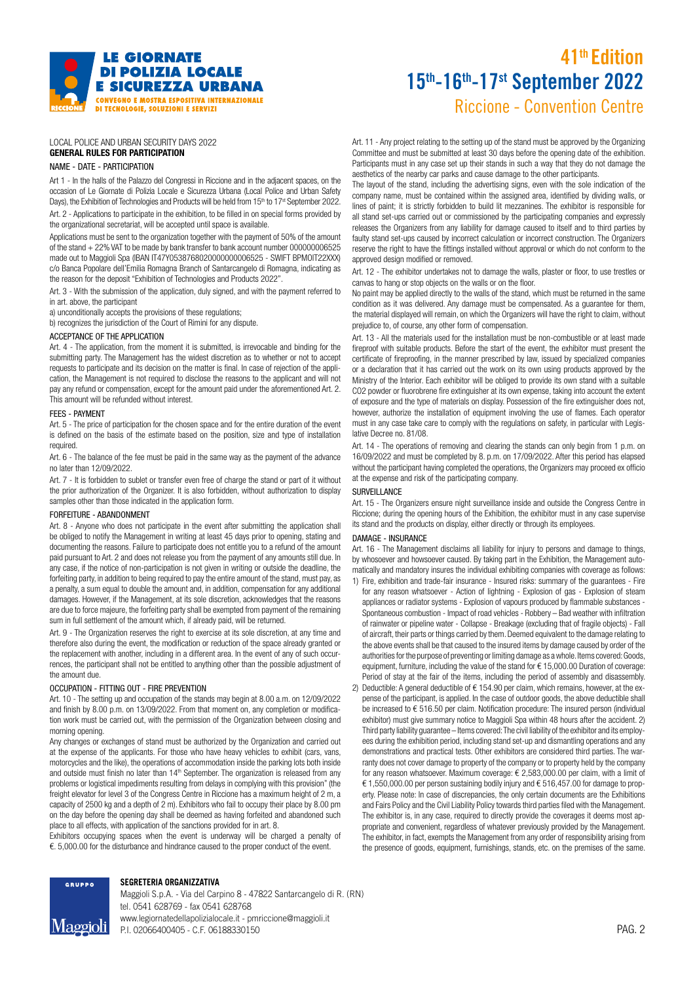

# Riccione - Convention Centre 15th-16th-17st September 2022 41th Edition

#### LOCAL POLICE AND URBAN SECURITY DAYS 2022 GENERAL RULES FOR PARTICIPATION

#### NAME - DATE - PARTICIPATION

Art 1 - In the halls of the Palazzo del Congressi in Riccione and in the adjacent spaces, on the occasion of Le Giornate di Polizia Locale e Sicurezza Urbana (Local Police and Urban Safety Days), the Exhibition of Technologies and Products will be held from 15<sup>th</sup> to 17<sup>st</sup> September 2022. Art. 2 - Applications to participate in the exhibition, to be filled in on special forms provided by

the organizational secretariat, will be accepted until space is available.

Applications must be sent to the organization together with the payment of 50% of the amount of the stand + 22% VAT to be made by bank transfer to bank account number 000000006525 made out to Maggioli Spa (IBAN IT47Y0538768020000000006525 - SWIFT BPMOIT22XXX) c/o Banca Popolare dell'Emilia Romagna Branch of Santarcangelo di Romagna, indicating as the reason for the deposit "Exhibition of Technologies and Products 2022".

Art. 3 - With the submission of the application, duly signed, and with the payment referred to in art. above, the participant

a) unconditionally accepts the provisions of these regulations;

b) recognizes the jurisdiction of the Court of Rimini for any dispute.

#### ACCEPTANCE OF THE APPLICATION

Art. 4 - The application, from the moment it is submitted, is irrevocable and binding for the submitting party. The Management has the widest discretion as to whether or not to accept requests to participate and its decision on the matter is final. In case of rejection of the application, the Management is not required to disclose the reasons to the applicant and will not pay any refund or compensation, except for the amount paid under the aforementioned Art. 2. This amount will be refunded without interest.

### FEES - PAYMENT

Art. 5 - The price of participation for the chosen space and for the entire duration of the event is defined on the basis of the estimate based on the position, size and type of installation required.

Art. 6 - The balance of the fee must be paid in the same way as the payment of the advance no later than 12/09/2022.

Art. 7 - It is forbidden to sublet or transfer even free of charge the stand or part of it without the prior authorization of the Organizer. It is also forbidden, without authorization to display samples other than those indicated in the application form.

#### FORFEITURE - ABANDONMENT

Art. 8 - Anyone who does not participate in the event after submitting the application shall be obliged to notify the Management in writing at least 45 days prior to opening, stating and documenting the reasons. Failure to participate does not entitle you to a refund of the amount paid pursuant to Art. 2 and does not release you from the payment of any amounts still due. In any case, if the notice of non-participation is not given in writing or outside the deadline, the forfeiting party, in addition to being required to pay the entire amount of the stand, must pay, as a penalty, a sum equal to double the amount and, in addition, compensation for any additional damages. However, if the Management, at its sole discretion, acknowledges that the reasons are due to force majeure, the forfeiting party shall be exempted from payment of the remaining sum in full settlement of the amount which, if already paid, will be returned.

Art. 9 - The Organization reserves the right to exercise at its sole discretion, at any time and therefore also during the event, the modification or reduction of the space already granted or the replacement with another, including in a different area. In the event of any of such occurrences, the participant shall not be entitled to anything other than the possible adjustment of the amount due.

#### OCCUPATION - FITTING OUT - FIRE PREVENTION

**GRUPPO** 

Maggioli

Art. 10 - The setting up and occupation of the stands may begin at 8.00 a.m. on 12/09/2022 and finish by 8.00 p.m. on 13/09/2022. From that moment on, any completion or modification work must be carried out, with the permission of the Organization between closing and morning opening.

Any changes or exchanges of stand must be authorized by the Organization and carried out at the expense of the applicants. For those who have heavy vehicles to exhibit (cars, vans, motorcycles and the like), the operations of accommodation inside the parking lots both inside and outside must finish no later than 14<sup>th</sup> September. The organization is released from any problems or logistical impediments resulting from delays in complying with this provision" (the freight elevator for level 3 of the Congress Centre in Riccione has a maximum height of 2 m, a capacity of 2500 kg and a depth of 2 m). Exhibitors who fail to occupy their place by 8.00 pm on the day before the opening day shall be deemed as having forfeited and abandoned such place to all effects, with application of the sanctions provided for in art. 8.

Exhibitors occupying spaces when the event is underway will be charged a penalty of €. 5,000.00 for the disturbance and hindrance caused to the proper conduct of the event.

Art. 11 - Any project relating to the setting up of the stand must be approved by the Organizing Committee and must be submitted at least 30 days before the opening date of the exhibition. Participants must in any case set up their stands in such a way that they do not damage the aesthetics of the nearby car parks and cause damage to the other participants.

The layout of the stand, including the advertising signs, even with the sole indication of the company name, must be contained within the assigned area, identified by dividing walls, or lines of paint; it is strictly forbidden to build lit mezzanines. The exhibitor is responsible for all stand set-ups carried out or commissioned by the participating companies and expressly releases the Organizers from any liability for damage caused to itself and to third parties by faulty stand set-ups caused by incorrect calculation or incorrect construction. The Organizers reserve the right to have the fittings installed without approval or which do not conform to the approved design modified or removed.

Art. 12 - The exhibitor undertakes not to damage the walls, plaster or floor, to use trestles or canvas to hang or stop objects on the walls or on the floor.

No paint may be applied directly to the walls of the stand, which must be returned in the same condition as it was delivered. Any damage must be compensated. As a guarantee for them, the material displayed will remain, on which the Organizers will have the right to claim, without prejudice to, of course, any other form of compensation.

Art. 13 - All the materials used for the installation must be non-combustible or at least made fireproof with suitable products. Before the start of the event, the exhibitor must present the certificate of fireproofing, in the manner prescribed by law, issued by specialized companies or a declaration that it has carried out the work on its own using products approved by the Ministry of the Interior. Each exhibitor will be obliged to provide its own stand with a suitable CO2 powder or fluorobrene fire extinguisher at its own expense, taking into account the extent of exposure and the type of materials on display. Possession of the fire extinguisher does not, however, authorize the installation of equipment involving the use of flames. Each operator must in any case take care to comply with the regulations on safety, in particular with Legislative Decree no. 81/08.

Art. 14 - The operations of removing and clearing the stands can only begin from 1 p.m. on 16/09/2022 and must be completed by 8. p.m. on 17/09/2022. After this period has elapsed without the participant having completed the operations, the Organizers may proceed ex officio at the expense and risk of the participating company.

#### SURVEILLANCE

Art. 15 - The Organizers ensure night surveillance inside and outside the Congress Centre in Riccione; during the opening hours of the Exhibition, the exhibitor must in any case supervise its stand and the products on display, either directly or through its employees.

#### DAMAGE - INSURANCE

Art. 16 - The Management disclaims all liability for injury to persons and damage to things, by whosoever and howsoever caused. By taking part in the Exhibition, the Management automatically and mandatory insures the individual exhibiting companies with coverage as follows:

- 1) Fire, exhibition and trade-fair insurance Insured risks: summary of the guarantees Fire for any reason whatsoever - Action of lightning - Explosion of gas - Explosion of steam appliances or radiator systems - Explosion of vapours produced by flammable substances - Spontaneous combustion - Impact of road vehicles - Robbery – Bad weather with infiltration of rainwater or pipeline water - Collapse - Breakage (excluding that of fragile objects) - Fall of aircraft, their parts or things carried by them. Deemed equivalent to the damage relating to the above events shall be that caused to the insured items by damage caused by order of the authorities for the purpose of preventing or limiting damage as a whole. Items covered: Goods, equipment, furniture, including the value of the stand for € 15,000.00 Duration of coverage: Period of stay at the fair of the items, including the period of assembly and disassembly.
- 2) Deductible: A general deductible of € 154.90 per claim, which remains, however, at the expense of the participant, is applied. In the case of outdoor goods, the above deductible shall be increased to € 516.50 per claim. Notification procedure: The insured person (individual exhibitor) must give summary notice to Maggioli Spa within 48 hours after the accident. 2) Third party liability guarantee – Items covered: The civil liability of the exhibitor and its employees during the exhibition period, including stand set-up and dismantling operations and any demonstrations and practical tests. Other exhibitors are considered third parties. The warranty does not cover damage to property of the company or to property held by the company for any reason whatsoever. Maximum coverage: € 2,583,000.00 per claim, with a limit of € 1,550,000.00 per person sustaining bodily injury and € 516,457.00 for damage to property. Please note: In case of discrepancies, the only certain documents are the Exhibitions and Fairs Policy and the Civil Liability Policy towards third parties filed with the Management. The exhibitor is, in any case, required to directly provide the coverages it deems most appropriate and convenient, regardless of whatever previously provided by the Management. The exhibitor, in fact, exempts the Management from any order of responsibility arising from the presence of goods, equipment, furnishings, stands, etc. on the premises of the same.



Maggioli S.p.A. - Via del Carpino 8 - 47822 Santarcangelo di R. (RN) tel. 0541 628769 - fax 0541 628768 www.legiornatedellapolizialocale.it - pmriccione@maggioli.it P.I. 02066400405 - C.F. 06188330150